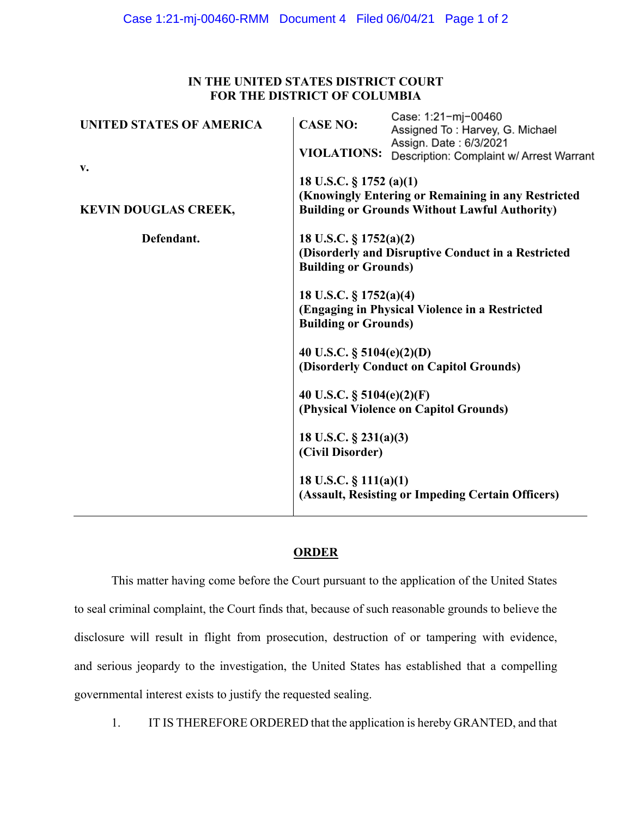## **IN THE UNITED STATES DISTRICT COURT FOR THE DISTRICT OF COLUMBIA**

| <b>UNITED STATES OF AMERICA</b> | <b>CASE NO:</b>                                                                                                                       | Case: 1:21-mj-00460<br>Assigned To: Harvey, G. Michael             |
|---------------------------------|---------------------------------------------------------------------------------------------------------------------------------------|--------------------------------------------------------------------|
| v.                              | <b>VIOLATIONS:</b>                                                                                                                    | Assign. Date: 6/3/2021<br>Description: Complaint w/ Arrest Warrant |
| <b>KEVIN DOUGLAS CREEK,</b>     | 18 U.S.C. § 1752 (a)(1)<br>(Knowingly Entering or Remaining in any Restricted<br><b>Building or Grounds Without Lawful Authority)</b> |                                                                    |
| Defendant.                      | 18 U.S.C. $\S 1752(a)(2)$<br>(Disorderly and Disruptive Conduct in a Restricted<br><b>Building or Grounds)</b>                        |                                                                    |
|                                 | 18 U.S.C. § 1752(a)(4)<br><b>Building or Grounds)</b>                                                                                 | (Engaging in Physical Violence in a Restricted                     |
|                                 | 40 U.S.C. $\S$ 5104(e)(2)(D)                                                                                                          | (Disorderly Conduct on Capitol Grounds)                            |
|                                 | 40 U.S.C. $\S$ 5104(e)(2)(F)<br>(Physical Violence on Capitol Grounds)                                                                |                                                                    |
|                                 | 18 U.S.C. $\S$ 231(a)(3)<br>(Civil Disorder)                                                                                          |                                                                    |
|                                 | 18 U.S.C. $\S$ 111(a)(1)                                                                                                              | (Assault, Resisting or Impeding Certain Officers)                  |
|                                 |                                                                                                                                       |                                                                    |

## **ORDER**

This matter having come before the Court pursuant to the application of the United States to seal criminal complaint, the Court finds that, because of such reasonable grounds to believe the disclosure will result in flight from prosecution, destruction of or tampering with evidence, and serious jeopardy to the investigation, the United States has established that a compelling governmental interest exists to justify the requested sealing.

1. IT IS THEREFORE ORDERED that the application is hereby GRANTED, and that